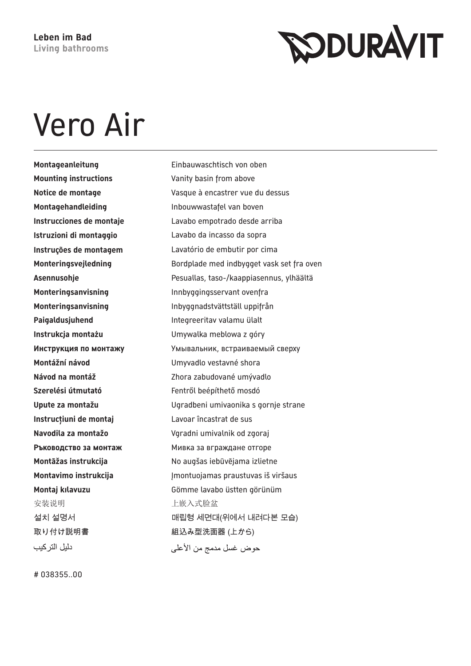## **SODURAVIT**

## Vero Air

**Montageanleitung** Einbauwaschtisch von oben **Mounting instructions** Vanity basin from above **Montagehandleiding Inbouwwastafel van boven Paigaldusjuhend Integreeritav valamu ülalt Montážní návod** Umyvadlo vestavné shora **Szerelési útmutató** Fentről beépíthető mosdó **Instrucţiuni de montaj** Lavoar încastrat de sus 安装说明 上嵌入式脸盆 取り付け説明書 マンチング 組込み型洗面器 (上から) دليل التر كيب

**Notice de montage** Vasque à encastrer vue du dessus **Instrucciones de montaje** Lavabo empotrado desde arriba **Istruzioni di montaggio** Lavabo da incasso da sopra **Instruções de montagem** Lavatório de embutir por cima **Monteringsvejledning** Bordplade med indbygget vask set fra oven **Asennusohje** Pesuallas, taso-/kaappiasennus, ylhäältä **Monteringsanvisning Innbyggingsservant ovenfra Monteringsanvisning** Inbyggnadstvättställ uppifrån **Instrukcja montażu** Umywalka meblowa z góry **Инструкция по монтажу** Умывальник, встраиваемый сверху **Návod na montáž** Zhora zabudované umývadlo **Upute za montažu** Ugradbeni umivaonika s gornje strane **Navodila za montažo** Vgradni umivalnik od zgoraj **Ръководство за монтаж Мивка за вграждане отгоре Montāžas instrukcija** No augšas iebūvējama izlietne **Montavimo instrukcija William instrukcija** komponistinas praustuvas iš viršaus **Montaj kılavuzu** Gömme lavabo üstten görünüm 렍 ꐺ ꎙꍲ뿊 ꫭꐩ鲵(낹꾅 驩ꇙ鲙ꚭ ꑝ걪) حوض غسل مدمج من الأعلى

# 038355..00